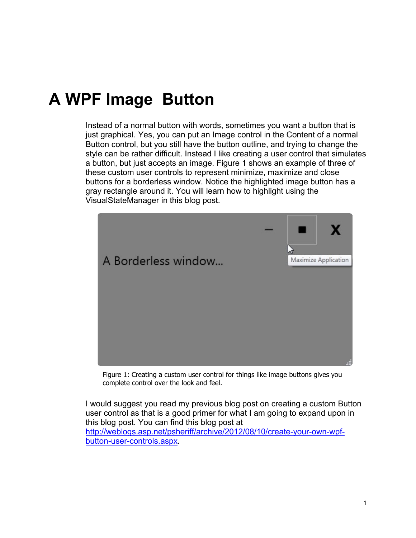## **A WPF Image Button**

Instead of a normal button with words, sometimes you want a button that is just graphical. Yes, you can put an Image control in the Content of a normal Button control, but you still have the button outline, and trying to change the style can be rather difficult. Instead I like creating a user control that simulates a button, but just accepts an image. [Figure 1](#page-0-0) shows an example of three of these custom user controls to represent minimize, maximize and close buttons for a borderless window. Notice the highlighted image button has a gray rectangle around it. You will learn how to highlight using the VisualStateManager in this blog post.



Figure 1: Creating a custom user control for things like image buttons gives you complete control over the look and feel.

<span id="page-0-0"></span>I would suggest you read my previous blog post on creating a custom Button user control as that is a good primer for what I am going to expand upon in this blog post. You can find this blog post at [http://weblogs.asp.net/psheriff/archive/2012/08/10/create-your-own-wpf](http://weblogs.asp.net/psheriff/archive/2012/08/10/create-your-own-wpf-button-user-controls.aspx)[button-user-controls.aspx.](http://weblogs.asp.net/psheriff/archive/2012/08/10/create-your-own-wpf-button-user-controls.aspx)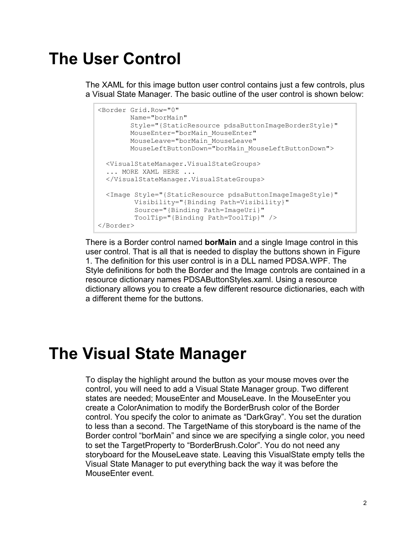### **The User Control**

The XAML for this image button user control contains just a few controls, plus a Visual State Manager. The basic outline of the user control is shown below:

```
<Border Grid.Row="0"
        Name="borMain"
        Style="{StaticResource pdsaButtonImageBorderStyle}"
        MouseEnter="borMain_MouseEnter"
        MouseLeave="borMain_MouseLeave"
        MouseLeftButtonDown="borMain_MouseLeftButtonDown">
  <VisualStateManager.VisualStateGroups>
  ... MORE XAML HERE ...
  </VisualStateManager.VisualStateGroups>
  <Image Style="{StaticResource pdsaButtonImageImageStyle}"
          Visibility="{Binding Path=Visibility}"
          Source="{Binding Path=ImageUri}"
          ToolTip="{Binding Path=ToolTip}" />
</Border>
```
There is a Border control named **borMain** and a single Image control in this user control. That is all that is needed to display the buttons shown in [Figure](#page-0-0)  [1.](#page-0-0) The definition for this user control is in a DLL named PDSA.WPF. The Style definitions for both the Border and the Image controls are contained in a resource dictionary names PDSAButtonStyles.xaml. Using a resource dictionary allows you to create a few different resource dictionaries, each with a different theme for the buttons.

## **The Visual State Manager**

To display the highlight around the button as your mouse moves over the control, you will need to add a Visual State Manager group. Two different states are needed; MouseEnter and MouseLeave. In the MouseEnter you create a ColorAnimation to modify the BorderBrush color of the Border control. You specify the color to animate as "DarkGray". You set the duration to less than a second. The TargetName of this storyboard is the name of the Border control "borMain" and since we are specifying a single color, you need to set the TargetProperty to "BorderBrush.Color". You do not need any storyboard for the MouseLeave state. Leaving this VisualState empty tells the Visual State Manager to put everything back the way it was before the MouseEnter event.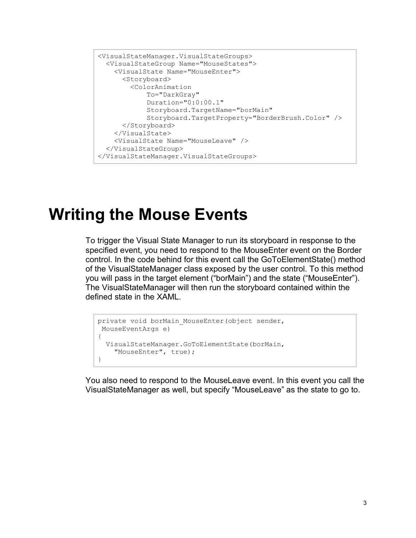```
<VisualStateManager.VisualStateGroups>
  <VisualStateGroup Name="MouseStates">
    <VisualState Name="MouseEnter">
      <Storyboard>
        <ColorAnimation 
            To="DarkGray"
            Duration="0:0:00.1"
             Storyboard.TargetName="borMain"
             Storyboard.TargetProperty="BorderBrush.Color" />
       </Storyboard>
    </VisualState>
    <VisualState Name="MouseLeave" />
  </VisualStateGroup>
</VisualStateManager.VisualStateGroups>
```
#### **Writing the Mouse Events**

To trigger the Visual State Manager to run its storyboard in response to the specified event, you need to respond to the MouseEnter event on the Border control. In the code behind for this event call the GoToElementState() method of the VisualStateManager class exposed by the user control. To this method you will pass in the target element ("borMain") and the state ("MouseEnter"). The VisualStateManager will then run the storyboard contained within the defined state in the XAML.

```
private void borMain MouseEnter(object sender,
MouseEventArgs e)
{
  VisualStateManager.GoToElementState(borMain,
     "MouseEnter", true);
}
```
You also need to respond to the MouseLeave event. In this event you call the VisualStateManager as well, but specify "MouseLeave" as the state to go to.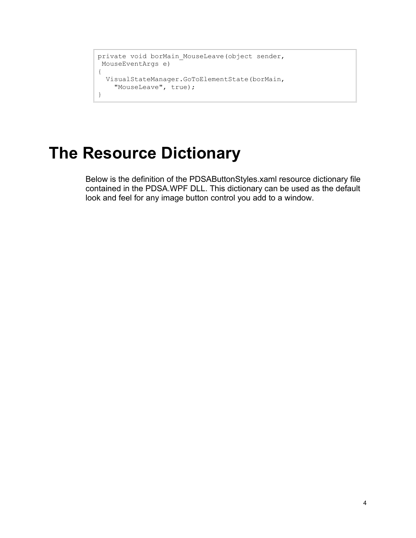```
private void borMain MouseLeave(object sender,
MouseEventArgs e)
{
  VisualStateManager.GoToElementState(borMain, 
    "MouseLeave", true);
}
```
## **The Resource Dictionary**

Below is the definition of the PDSAButtonStyles.xaml resource dictionary file contained in the PDSA.WPF DLL. This dictionary can be used as the default look and feel for any image button control you add to a window.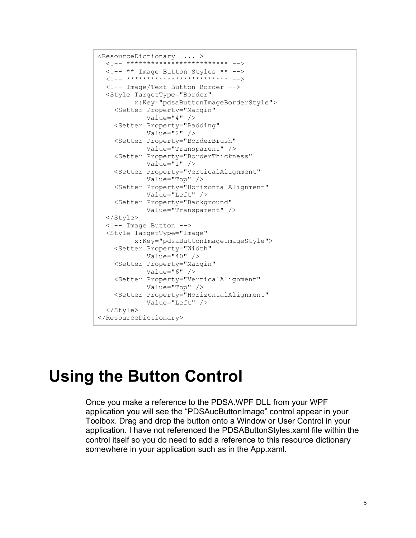```
<ResourceDictionary ... >
  <!-- ************************* -->
  <!-- ** Image Button Styles ** -->
 <!-- ************************* -->
  <!-- Image/Text Button Border -->
  <Style TargetType="Border"
         x:Key="pdsaButtonImageBorderStyle">
     <Setter Property="Margin"
            Value="4" />
     <Setter Property="Padding"
             Value="2" />
     <Setter Property="BorderBrush"
            Value="Transparent" />
     <Setter Property="BorderThickness"
            Value="1" />
     <Setter Property="VerticalAlignment"
            Value="Top" />
     <Setter Property="HorizontalAlignment"
            Value="Left" />
     <Setter Property="Background"
            Value="Transparent" />
  </Style>
  <!-- Image Button -->
   <Style TargetType="Image"
          x:Key="pdsaButtonImageImageStyle">
     <Setter Property="Width"
            Value="40" />
    <Setter Property="Margin"
            Value="6" />
    <Setter Property="VerticalAlignment"
            Value="Top" />
     <Setter Property="HorizontalAlignment"
             Value="Left" />
   </Style>
</ResourceDictionary>
```
#### **Using the Button Control**

Once you make a reference to the PDSA.WPF DLL from your WPF application you will see the "PDSAucButtonImage" control appear in your Toolbox. Drag and drop the button onto a Window or User Control in your application. I have not referenced the PDSAButtonStyles.xaml file within the control itself so you do need to add a reference to this resource dictionary somewhere in your application such as in the App.xaml.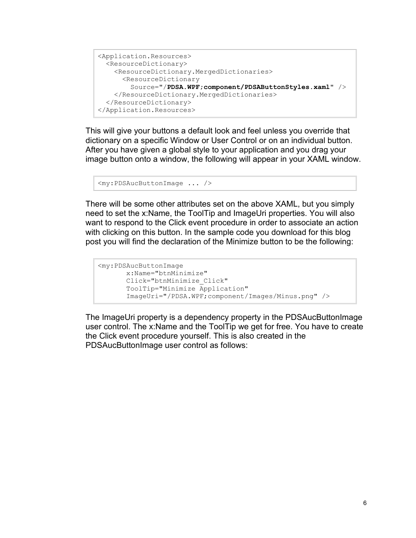```
<Application.Resources>
  <ResourceDictionary>
    <ResourceDictionary.MergedDictionaries>
      <ResourceDictionary 
        Source="/PDSA.WPF;component/PDSAButtonStyles.xaml" />
    </ResourceDictionary.MergedDictionaries>
  </ResourceDictionary>
</Application.Resources>
```
This will give your buttons a default look and feel unless you override that dictionary on a specific Window or User Control or on an individual button. After you have given a global style to your application and you drag your image button onto a window, the following will appear in your XAML window.

```
<my:PDSAucButtonImage ... />
```
There will be some other attributes set on the above XAML, but you simply need to set the x:Name, the ToolTip and ImageUri properties. You will also want to respond to the Click event procedure in order to associate an action with clicking on this button. In the sample code you download for this blog post you will find the declaration of the Minimize button to be the following:

```
<my:PDSAucButtonImage
       x:Name="btnMinimize"
       Click="btnMinimize_Click"
       ToolTip="Minimize Application"
        ImageUri="/PDSA.WPF;component/Images/Minus.png" />
```
The ImageUri property is a dependency property in the PDSAucButtonImage user control. The x:Name and the ToolTip we get for free. You have to create the Click event procedure yourself. This is also created in the PDSAucButtonImage user control as follows: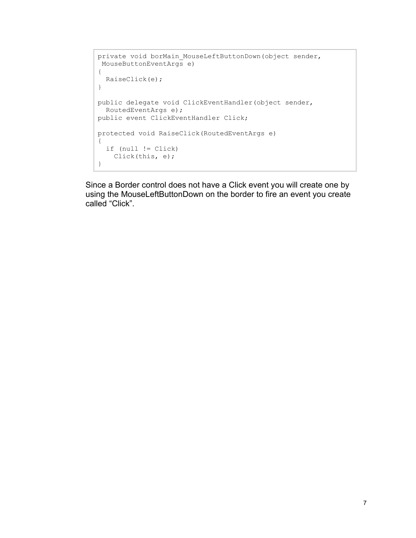```
private void borMain MouseLeftButtonDown(object sender,
MouseButtonEventArgs e)
{
  RaiseClick(e);
}
public delegate void ClickEventHandler(object sender,
  RoutedEventArgs e);
public event ClickEventHandler Click;
protected void RaiseClick(RoutedEventArgs e)
{
   if (null != Click)
    Click(this, e);
}
```
Since a Border control does not have a Click event you will create one by using the MouseLeftButtonDown on the border to fire an event you create called "Click".